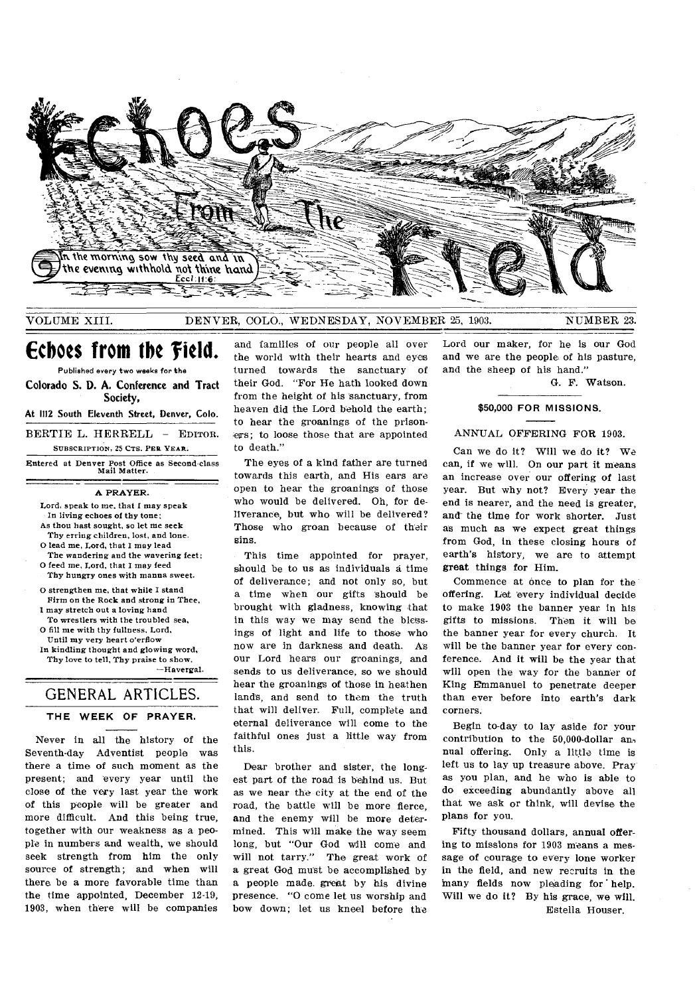

VOLUME XIII. DENVER, COLO., WEDNESDAY, NOVEMBER 25, 1903. NUMBER 23.

**Echoes from the field.** 

Published every two weeks for the Colorado S. **D. A.** Conference and Tract Society,

**At 1112 South Eleventh Street, Denver, Colo.** 

BERTIE L. HERRELL - EDITOR. SUBSCRIPTION, 25 CTS. PER YEAR.

Entered at Denver Post Office as Second-class Mail Matter.

A PRAYER.

Lord, speak to me, that I may speak In living echoes of thy tone; As thou bast sought, so let me seek

- Thy erring children, lost, and lone. O lead me, Lord, that I may lead
- The wandering and the wavering feet; O feed me, Lord, that I may feed
- Thy hungry ones with manna sweet.
- O strengthen me, that while I stand Firm on the Rock and strong in Thee, I may stretch out a loving hand
- To wrestlers with the troubled sea, O fill me with thy fullness, Lord,
- Until my very heart o'erflow
- In kindling thought and glowing word, Thy love to tell, Thy praise to show. —Havergal.

# GENERAL ARTICLES. **THE WEEK OF PRAYER.**

Never in all the history of the Seventh-day Adventist people was there a time of such moment as the present; and every year until the close of the very last year the work of this people will be greater and more difficult. And this being true, together with our weakness as a people in numbers and wealth, we should seek strength from him the only source of strength; and when will there, be a more favorable time than the time appointed, December 12-19, 1903, when there will be companies

and families of our people all over the world with their hearts and eyes turned towards the sanctuary of their God. "For He hath looked down from the height of his 'sanctuary, from heaven did the Lord behold the earth; to hear the groanings of the prisoners; to loose those that are appointed to death."

The eyes of a kind father are turned towards this earth, and His ears are open to hear the groanings of those who would be delivered. Oh, for deliverance, but who will be delivered? Those who groan because of their sins.

This time appointed for prayer, should be to us as individuals a time of deliverance; and not only so, but a time when our gifts 'should be brought with gladness, knowing that in this way we may send the blessings of light and life to those who now are in darkness and death. A's our Lord hears our groanings, and sends to us deliverance, so we should hear the groanings of those in heathen lands, and send to them the truth that will deliver. Full, complete and eternal deliverance will come to the faithful ones just a little way from this.

Dear brother and sister, the longest part of the road is behind us. But as we near the city at the end of the road, the battle will be more fierce, and the enemy will be more determined. This will make the way seem long, but "Our God will come and will not tarry." The great work of a great God must be accomplished by a people made great by his divine presence. "0 come let us worship and bow down; let us kneel before the

Lord our maker, for he is our God and we are the people of his pasture, and the sheep of his hand."

G. F. Watson.

#### **\$50,000 FOR MISSIONS.**

#### ANNUAL OFFERING **FOR** 1903.

Can we do it? Will we do it? We can, if we will. On our part it means an increase over our offering of last year. But why not? Every year the end is nearer, and the need is greater, and the time for work shorter. Just as much as we expect great things from God, in these closing hours of earth's history, we are to attempt great things for Him.

Commence at once to plan for the offering. Let 'every individual decide to make 1903 the banner year in his gifts to missions. Then it will be the banner year for every church. It will be the banner year for every conference. And it will be the year that will open the way for the banner of King Emmanuel to penetrate deeper than ever before into earth's dark corners.

Begin to-day to lay aside for your contribution to the 50,000-dollar an, nual offering. Only a little time is left us to lay up treasure above. Pray' as you plan, and he who is able to do exceeding abundantly above all that we ask or think, will devise the plans for you.

Fifty thousand dollars, annual offering to missions for 1903 means a message of courage to every lone worker in the field, and new recruits in the many fields now pleading for help. Will we do it? By his grace, we will. Estella Houser.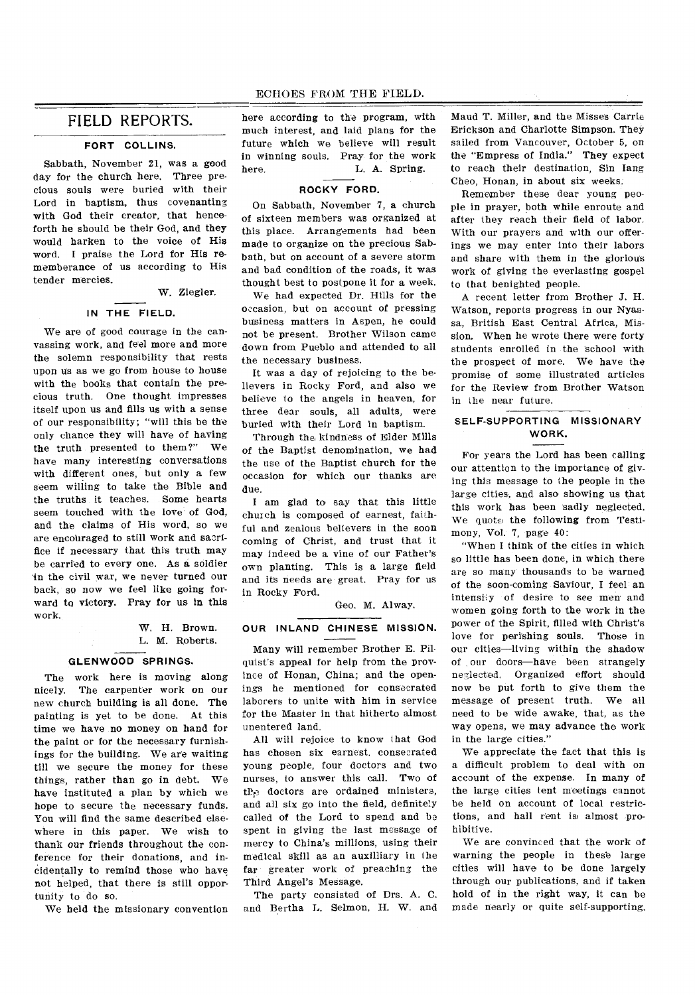## FIELD REPORTS.

#### **FORT COLLINS.**

Sabbath, November 21, was a good day for the church here. Three precious souls were buried with their Lord in baptism, thus covenanting with God their creator, that henceforth he should be their God, and they would harken to the voice of His word. I praise the Lord for His rememberance of us according to His tender mercies.

W. Ziegler.

#### **IN THE FIELD.**

We are of good courage in the canvassing work, and feel more and more the solemn responsibility that rests upon us as we go from house to house with the books that contain the precious truth. One thought impresses itself upon us and fills us with a sense of our responsibility; "will this be the only chance they will have of having the truth presented to them?" We have many interesting conversations with different ones, but only a few seem willing to take the Bible and the truths it teaches. Some hearts seem touched with the love of God, and the claims of His word, so we are encouraged to still work and sacrifice if necessary that this truth may be carried to every one. As a soldier in the civil war, we never turned our back, so now we feel like going forward to victory. Pray for us in this work.

> W. H. Brown. L. M. Roberts.

#### **GLENWOOD SPRINGS.**

The work here is moving along nicely. The carpenter work on our new church building is all done. The painting is yet to be done. At this time we have no money on hand for the paint or for the necessary furnishings for the building. We are waiting till we secure the money for these things, rather than go in debt. We have instituted a plan by which we hope to secure the necessary funds. You will find the same described elsewhere in this paper. We wish to thank our friends throughout the conference for their donations, and incidentally to remind those who have not helped, that there is still opportunity to do so.

We held the missionary convention

here according to the program, with much interest, and laid plans for the future which we believe will result in winning souls. Pray for the work here. L. A. Spring.

#### **ROCKY FORD.**

On Sabbath, November 7, a church of sixteen members was organized at this place. Arrangements had been made to organize on the precious Sabbath, but on account of a severe storm and bad condition of the roads, it was thought best to postpone it for a week.

We had expected Dr. Hills for the occasion, but on account of pressing business matters in Aspen, he could not be present. Brother Wilson came down from Pueblo and attended to all the necessary business.

It was a day of rejoicing to the believers in Rocky Ford, and also we believe to the angels in heaven, for three dear souls, all adults, were buried with their Lord in baptism.

Through the kindness of Elder Mills of the Baptist denomination, we had the use of the Baptist church for the occasion for which our thanks are due.

I am glad to say that this little church is composed of earnest, faithful and zealous believers in the soon coming of Christ, and trust that it may indeed be a vine of our Father's own planting. This is a large field and its needs are great. Pray for us in Rocky Ford.

Geo. M. Alway.

### **OUR INLAND CHINESE MISSION.**

Many will remember Brother E. Pilquist's appeal for help from the province of Honan, China; and the openings he mentioned for consecrated laborers to unite with him in service for the Master in that hitherto almost unentered land.

All will rejoice to know that God has chosen six earnest, consecrated young people, four doctors and two nurses, to answer this call. Two of  $tP<sub>0</sub>$  doctors are ordained ministers, and all six go into the field, definitely called of the Lord to spend and be spent in giving the last message of mercy to China's millions, using their medical skill as an auxilliary in the far greater work of preaching the Third Angel's Message.

The party consisted of Drs. A. C. and Bertha L. Selmon, H. W. and

Maud T. Miller, and the Misses Carrie Erickson and Charlotte Simpson. They sailed from Vancouver, October 5, on the "Empress of India." They expect to reach their destination, Sin Tang Cheo, Honan, in about six weeks.

Remember these dear young people in prayer, both while enroute and after they reach their field of labor. With our prayers and with our offerings we may enter into their labors and share with them in the glorious work of giving the everlasting gospel to that benighted people.

A recent letter from Brother J. H. Watson, reports progress in our Nyassa, British East Central Africa, Mission. When he wrote there were forty students enrolled in the school with the prospect of more. We have the promise of some illustrated articles for the Review from Brother Watson in the near future.

### **SELF-SUPPORTING MISSIONARY WORK.**

For years the Lord has been calling our attention to the importance of giving this message to the people in the large cities, and also showing us that this work has been sadly neglected. We quote the following from Testimony, Vol. 7, page 40:

"When I think of the cities in which so little has been done, in which there are so many thousands to be warned of the soon-coming Saviour, I feel an intensity of desire to see men and women going forth to the work in the power of the Spirit, filled with Christ's love for perishing souls. Those in our cities—living within the shadow of our doors—have been strangely neglected. Organized effort should now be put forth to give them the message of present truth. We all need to be wide awake, that, as the way opens, we may advance the work in the large cities."

We appreciate the fact that this is a difficult problem to deal with on account of the expense. In many of the large cities tent meetings cannot be held on account of local restrictions, and hall rent is almost prohibitive.

We are convinced that the work of warning the people in these large cities will have to be done largely through our publications, and if taken hold of in the right way, it can be made nearly or quite self-supporting.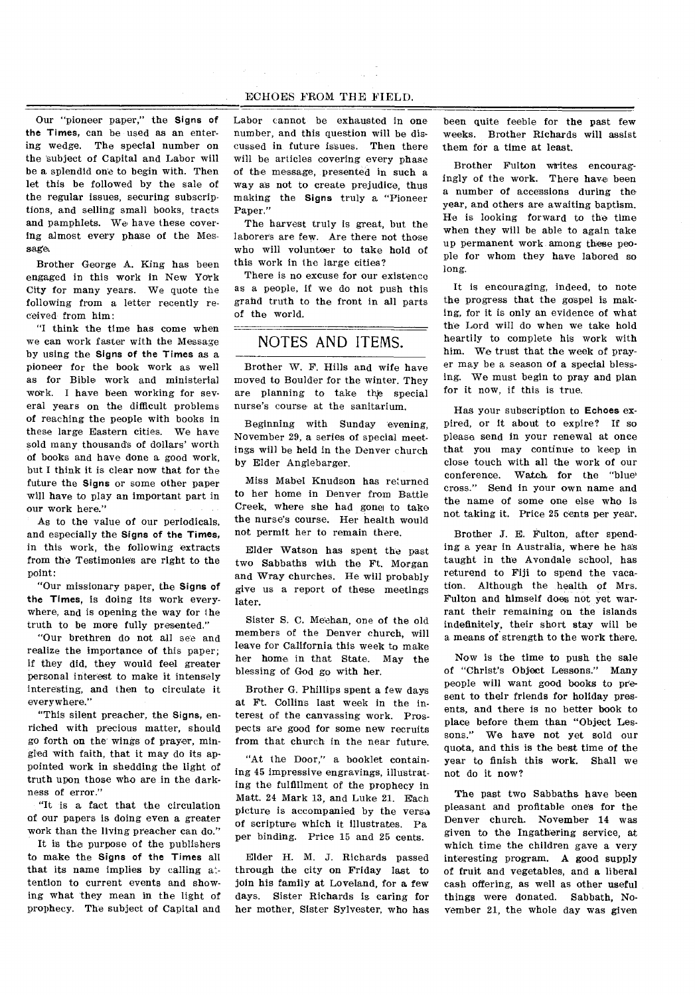#### ECHOES FROM THE FIELD.

Our "pioneer paper," the Signs of the Times, can be used as an entering wedge. The special number on the subject of Capital and Labor will be a splendid one to begin with. Then let this be followed by the sale of the regular issues, securing subscriptions, and selling small books, tracts and pamphlets. We have these covering almost every phase of the Message.

Brother George A. King has been engaged in this work in New York City for many years. We quote the following from a letter recently received from him:

"I think the time has come when we can work faster with the Message by using the Signs of the Times as a pioneer for the book work as well as for Bible work and ministerial work. I have been working for several years on the difficult problems of reaching the people with books in these large Eastern cities. We have sold many thousands of dollars' worth of books and have done a good work, but I think it is clear now that for the future the Signs or some other paper will have to play an important part in our work here."

As to the value of our periodicals, and especially the Signs of the Times, in this work, the following extracts from the Testimonies are right to the point:

"Our missionary paper, the Signs of the Times, is doing its work everywhere, and is opening the way for the truth to be more fully presented."

"Our brethren do not all see and realize the importance of this paper; if they did, they would feel greater personal interest to make it intensely interesting, and then to circulate it everywhere."

"This silent preacher, the Signs, enriched with precious matter, should go forth on the wings of prayer, mingled with faith, that it may do its appointed work in shedding the light of truth upon those who are in the darkness of error."

"It is a fact that the circulation of our papers is doing even a greater work than the living preacher can do."

It is the purpose of the publishers to make the Signs of the Times all that its name implies by calling attention to current events and showing what they mean in the light of prophecy. The subject of Capital and Labor cannot be exhausted in one number, and this question will be discussed in future issues. Then there will be articles covering every phase of the message, presented in such a way as not to create prejudice, thus making the Signs truly a "Pioneer Paper."

The harvest truly is great, but the laborers are few. Are there not those who will volunteer to take hold of this work in the large cities?

There is no excuse for our existence as a people, if we do not push this grand truth to the front in all parts of the world.

# NOTES AND ITEMS.

Brother W. F. Hills and wife have moved to Boulder for the winter. They are planning to take the special nurse's course at the sanitarium.

Beginning with Sunday evening, November 29, a series of special meetings will be held in the Denver church by Elder Anglebarger.

Miss Mabel Knudson has returned to her home in Denver from Battle Creek, where she had gone to take the nurse's course. Her health would not permit her to remain there.

Elder Watson has spent the past two Sabbath's with the Ft. Morgan and Wray churches. He will probably give us a report of these meetings later.

Sister S. C. Meehan, one of the old members of the Denver church, will leave for California this week to make her home in that State. May the blessing of God go with her.

Brother G. Phillips spent a few days at Ft. Collins last week in the interest of the canvassing work. Prospects are good for some new recruits from that church in the near future.

"At the Door," a booklet containing 45 impressive engravings, illustrating the fulfillment of the prophecy in Matt. 24 Mark 13, and Luke 21. Each picture is accompanied by the versa of scripture which it illustrates. Pa per binding. Price 15 and 25 cents.

Elder H. M. J. Richards passed through the city on Friday last to join his family at Loveland, for a few days. Sister Richards is caring for her mother, Sister Sylvester, who has

been quite feeble for the past few weeks. Brother Richards will assist them for a time at least.

Brother Fulton writes encouragingly of the work. There have been a number of accessions during the year, and others are awaiting baptism. He is looking forward to the time when they will be able to again take up permanent work among these people for whom they have labored so long.

It is encouraging, indeed, to note the progress that the gospel is making, for it is only an evidence of what the Lord will do when we take hold heartily to complete his work with him. We trust that the week of prayer may be a season of a special blessing. We must begin to pray and plan for it now, if this is true.

Has your subscription to **Echoes** expired, or it about to expire? If so please send in your renewal at once that you may continue to keep in close touch with all the work of our conference. Watch for the "blue cross." Send in your own name and the name of some one else who is not taking it. Price 25 cents per year.

Brother J. E. Fulton, after spending a year in Australia, where he has taught in the Avondale school, has returend to Fiji to spend the vacation. Although the health of Mrs. Fulton and himself does not yet warrant their remaining on the islands indefinitely, their short stay will be a means of strength to the work there.

Now is the time to push the sale of "Christ's Object Lessons." Many people will want good books to present to their friends for holiday presents, and there is no better book to place before them than "Object Lessons." We have not yet sold our quota, and this is the best time of the year to finish this work. Shall we not do it now?

The past two Sabbaths have been pleasant and profitable ones for the Denver church. November 14 was given to the Ingathering service, at which time the children gave a very interesting program. A good supply of fruit and vegetables, and a liberal cash offering, as well as other useful things were donated. Sabbath, November 21, the whole day was given